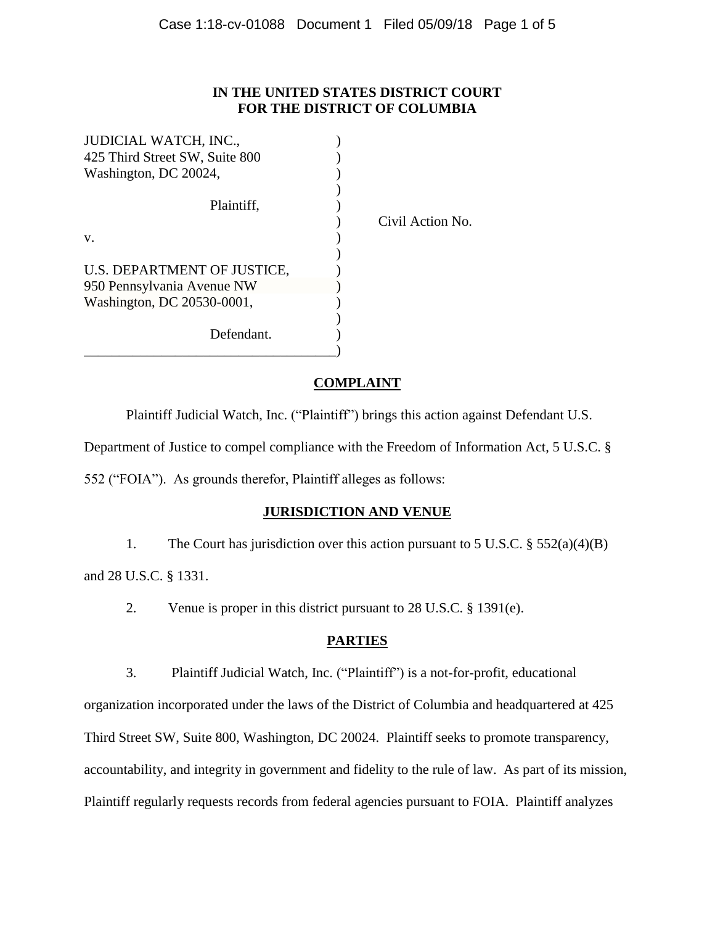#### **IN THE UNITED STATES DISTRICT COURT FOR THE DISTRICT OF COLUMBIA**

| <b>JUDICIAL WATCH, INC.,</b>   |            |
|--------------------------------|------------|
| 425 Third Street SW, Suite 800 |            |
| Washington, DC 20024,          |            |
|                                |            |
| Plaintiff,                     |            |
|                                | $C$ ivil A |
| V.                             |            |
|                                |            |
| U.S. DEPARTMENT OF JUSTICE,    |            |
| 950 Pennsylvania Avenue NW     |            |
| Washington, DC 20530-0001,     |            |
|                                |            |
| Defendant.                     |            |
|                                |            |

Action No.

#### **COMPLAINT**

Plaintiff Judicial Watch, Inc. ("Plaintiff") brings this action against Defendant U.S.

Department of Justice to compel compliance with the Freedom of Information Act, 5 U.S.C. §

552 ("FOIA"). As grounds therefor, Plaintiff alleges as follows:

# **JURISDICTION AND VENUE**

1. The Court has jurisdiction over this action pursuant to 5 U.S.C. § 552(a)(4)(B)

and 28 U.S.C. § 1331.

2. Venue is proper in this district pursuant to 28 U.S.C. § 1391(e).

# **PARTIES**

3. Plaintiff Judicial Watch, Inc. ("Plaintiff") is a not-for-profit, educational

organization incorporated under the laws of the District of Columbia and headquartered at 425 Third Street SW, Suite 800, Washington, DC 20024. Plaintiff seeks to promote transparency, accountability, and integrity in government and fidelity to the rule of law. As part of its mission, Plaintiff regularly requests records from federal agencies pursuant to FOIA. Plaintiff analyzes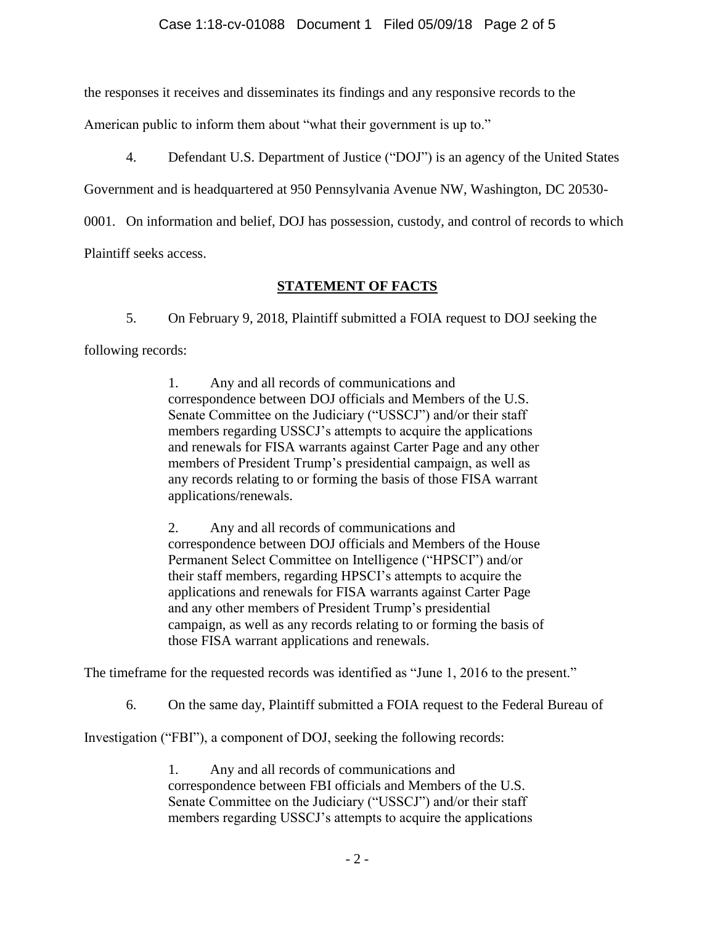the responses it receives and disseminates its findings and any responsive records to the

American public to inform them about "what their government is up to."

4. Defendant U.S. Department of Justice ("DOJ") is an agency of the United States

Government and is headquartered at 950 Pennsylvania Avenue NW, Washington, DC 20530-

0001. On information and belief, DOJ has possession, custody, and control of records to which

Plaintiff seeks access.

# **STATEMENT OF FACTS**

5. On February 9, 2018, Plaintiff submitted a FOIA request to DOJ seeking the following records:

> 1. Any and all records of communications and correspondence between DOJ officials and Members of the U.S. Senate Committee on the Judiciary ("USSCJ") and/or their staff members regarding USSCJ's attempts to acquire the applications and renewals for FISA warrants against Carter Page and any other members of President Trump's presidential campaign, as well as any records relating to or forming the basis of those FISA warrant applications/renewals.

2. Any and all records of communications and correspondence between DOJ officials and Members of the House Permanent Select Committee on Intelligence ("HPSCI") and/or their staff members, regarding HPSCI's attempts to acquire the applications and renewals for FISA warrants against Carter Page and any other members of President Trump's presidential campaign, as well as any records relating to or forming the basis of those FISA warrant applications and renewals.

The timeframe for the requested records was identified as "June 1, 2016 to the present."

6. On the same day, Plaintiff submitted a FOIA request to the Federal Bureau of

Investigation ("FBI"), a component of DOJ, seeking the following records:

1. Any and all records of communications and correspondence between FBI officials and Members of the U.S. Senate Committee on the Judiciary ("USSCJ") and/or their staff members regarding USSCJ's attempts to acquire the applications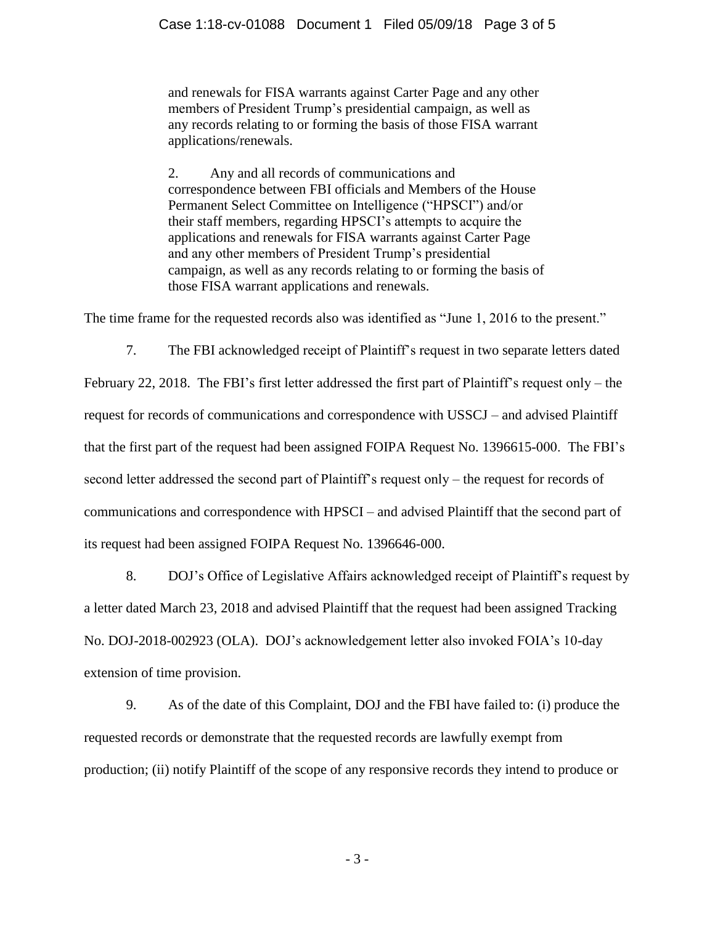and renewals for FISA warrants against Carter Page and any other members of President Trump's presidential campaign, as well as any records relating to or forming the basis of those FISA warrant applications/renewals.

2. Any and all records of communications and correspondence between FBI officials and Members of the House Permanent Select Committee on Intelligence ("HPSCI") and/or their staff members, regarding HPSCI's attempts to acquire the applications and renewals for FISA warrants against Carter Page and any other members of President Trump's presidential campaign, as well as any records relating to or forming the basis of those FISA warrant applications and renewals.

The time frame for the requested records also was identified as "June 1, 2016 to the present."

7. The FBI acknowledged receipt of Plaintiff's request in two separate letters dated February 22, 2018. The FBI's first letter addressed the first part of Plaintiff's request only – the request for records of communications and correspondence with USSCJ – and advised Plaintiff that the first part of the request had been assigned FOIPA Request No. 1396615-000. The FBI's second letter addressed the second part of Plaintiff's request only – the request for records of communications and correspondence with HPSCI – and advised Plaintiff that the second part of its request had been assigned FOIPA Request No. 1396646-000.

8. DOJ's Office of Legislative Affairs acknowledged receipt of Plaintiff's request by a letter dated March 23, 2018 and advised Plaintiff that the request had been assigned Tracking No. DOJ-2018-002923 (OLA). DOJ's acknowledgement letter also invoked FOIA's 10-day extension of time provision.

9. As of the date of this Complaint, DOJ and the FBI have failed to: (i) produce the requested records or demonstrate that the requested records are lawfully exempt from production; (ii) notify Plaintiff of the scope of any responsive records they intend to produce or

- 3 -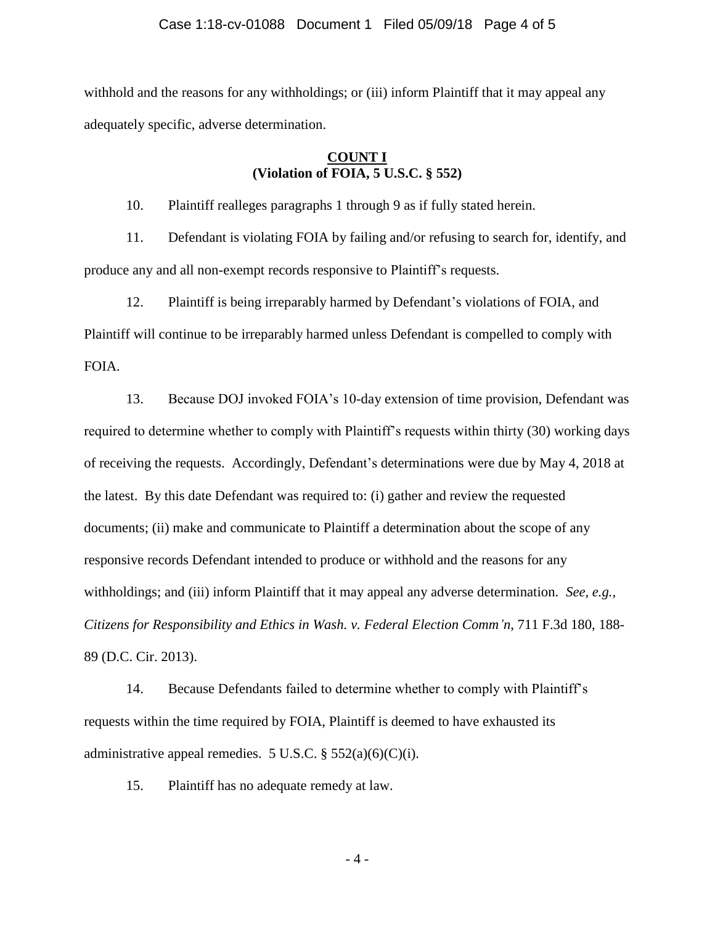withhold and the reasons for any withholdings; or (iii) inform Plaintiff that it may appeal any adequately specific, adverse determination.

#### **COUNT I (Violation of FOIA, 5 U.S.C. § 552)**

10. Plaintiff realleges paragraphs 1 through 9 as if fully stated herein.

11. Defendant is violating FOIA by failing and/or refusing to search for, identify, and produce any and all non-exempt records responsive to Plaintiff's requests.

12. Plaintiff is being irreparably harmed by Defendant's violations of FOIA, and Plaintiff will continue to be irreparably harmed unless Defendant is compelled to comply with FOIA.

13. Because DOJ invoked FOIA's 10-day extension of time provision, Defendant was required to determine whether to comply with Plaintiff's requests within thirty (30) working days of receiving the requests. Accordingly, Defendant's determinations were due by May 4, 2018 at the latest. By this date Defendant was required to: (i) gather and review the requested documents; (ii) make and communicate to Plaintiff a determination about the scope of any responsive records Defendant intended to produce or withhold and the reasons for any withholdings; and (iii) inform Plaintiff that it may appeal any adverse determination. *See, e.g.*, *Citizens for Responsibility and Ethics in Wash. v. Federal Election Comm'n*, 711 F.3d 180, 188- 89 (D.C. Cir. 2013).

14. Because Defendants failed to determine whether to comply with Plaintiff's requests within the time required by FOIA, Plaintiff is deemed to have exhausted its administrative appeal remedies. 5 U.S.C.  $\S$  552(a)(6)(C)(i).

15. Plaintiff has no adequate remedy at law.

- 4 -